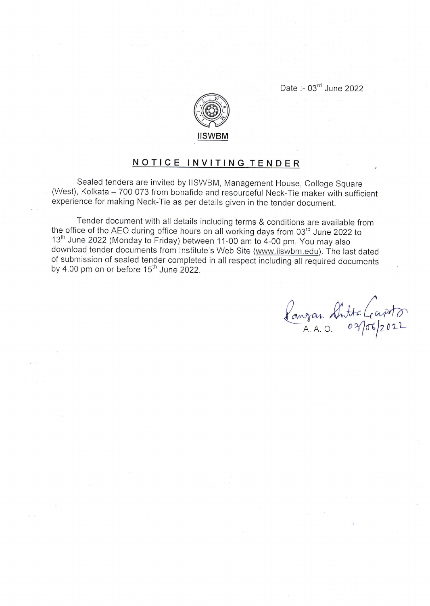Date :- 03'd June 2022



## NOTICE INVITING TENDER

Sealed tenders are invited by llSWBM, Management House, College Square (West), Kolkata - 700 073 from bonafide and resourceful Neck-Tie maker with sufficient experience for making Neck-Tie as per details given in the tender document.

Tender document with all details including terms & conditions are available from the office of the AEO during office hours on all working days from 03<sup>rd</sup> June 2022 to 13<sup>th</sup> June 2022 (Monday to Friday) between 11-00 am to 4-00 pm. You may also download tender documents from Institute's Web Site (www.iiswbm.edu). The last dated of submission of sealed tender completed in all respect including all required documents by 4.00 pm on or before 15<sup>th</sup> June 2022.

Rangan Sintta Capiton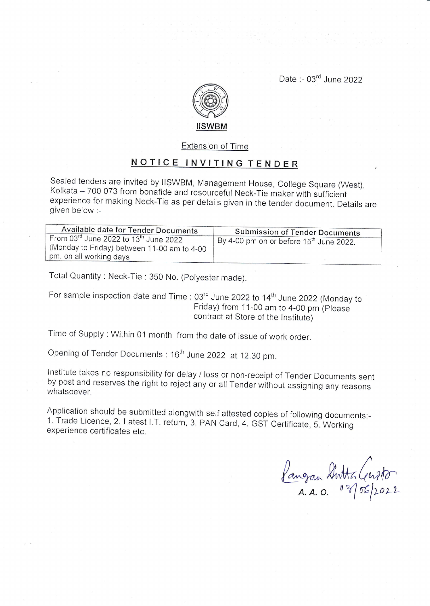Date :- 03<sup>rd</sup> June 2022



## Extension of Time

## NOTICE INVITING TENDER

Sealed tenders are invited by IISWBM, Management House, College Square (West), Kolkata - 700 073 from bonafide and resourceful Neck-Tie maker with sufficient experience for making Neck-Tie as per details given in the tender document. Details are given below :-

| Available date for Tender Documents                                                                                                      | <b>Submission of Tender Documents</b>               |
|------------------------------------------------------------------------------------------------------------------------------------------|-----------------------------------------------------|
| From 03 $^{\text{rd}}$ June 2022 to 13 <sup>th</sup> June 2022<br>(Monday to Friday) between 11-00 am to 4-00<br>pm, on all working days | By 4-00 pm on or before 15 <sup>th</sup> June 2022. |
|                                                                                                                                          |                                                     |

Total Quantity : Neck-Tie : 350 No. (polyester made).

For sample inspection date and Time : 03<sup>rd</sup> June 2022 to 14<sup>th</sup> June 2022 (Monday to Friday) from 11-00 am to 4-00 pm (please contract at Store of the lnstitute)

Time of supply : within 01 month from the date of issue of work order.

Opening of Tender Documents: 16<sup>th</sup> June 2022 at 12.30 pm.

lnstitute takes no responsibility for delay / loss or non-receipt of Tender Documents sent by post and reserves the right to reject any or all Tender wiihout assigning any reasons whatsoever.

Application should be submitted alongwith self attested copies of following documents:- 1. Trade Licence, 2. Latest LT. return, 3. pAN card, 4. GST certificate, 5. working experience certificates etc.

Kangan Switter Cerpto  $A. A. O.$   $0.9\sqrt[3]{66}/2022$